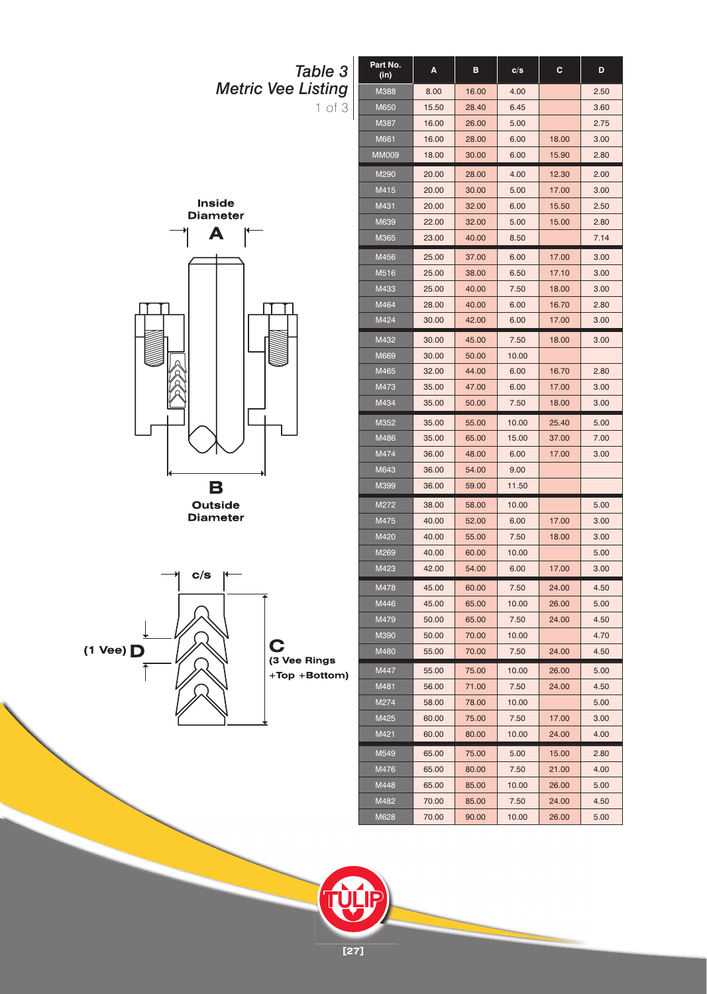

**Diameter** 

 $(1$  Vee)  $\Box$ 

**[27]**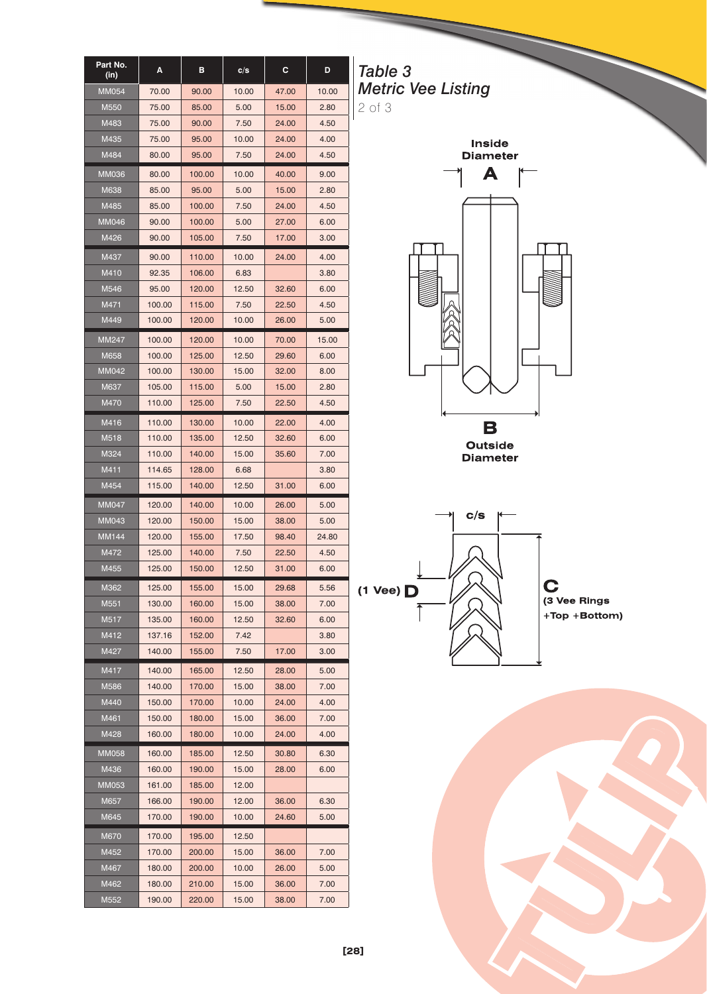| Part No.<br>(in) | Α      | в      | c/s   | С     | D     |
|------------------|--------|--------|-------|-------|-------|
| <b>MM054</b>     | 70.00  | 90.00  | 10.00 | 47.00 | 10.00 |
| M550             | 75.00  | 85.00  | 5.00  | 15.00 | 2.80  |
| M483             | 75.00  | 90.00  | 7.50  | 24.00 | 4.50  |
| M435             | 75.00  | 95.00  | 10.00 | 24.00 | 4.00  |
| M484             | 80.00  | 95.00  | 7.50  | 24.00 | 4.50  |
| <b>MM036</b>     | 80.00  | 100.00 | 10.00 | 40.00 | 9.00  |
| M638             | 85.00  | 95.00  | 5.00  | 15.00 | 2.80  |
| M485             | 85.00  | 100.00 | 7.50  | 24.00 | 4.50  |
| MM046            | 90.00  | 100.00 | 5.00  | 27.00 | 6.00  |
| M426             | 90.00  | 105.00 | 7.50  | 17.00 | 3.00  |
| M437             | 90.00  | 110.00 | 10.00 | 24.00 | 4.00  |
| M410             | 92.35  | 106.00 | 6.83  |       | 3.80  |
| M546             | 95.00  | 120.00 | 12.50 | 32.60 | 6.00  |
| M471             | 100.00 | 115.00 | 7.50  | 22.50 | 4.50  |
| M449             | 100.00 | 120.00 | 10.00 | 26.00 | 5.00  |
| MM247            | 100.00 | 120.00 | 10.00 | 70.00 | 15.00 |
| M658             | 100.00 | 125.00 | 12.50 | 29.60 | 6.00  |
| MM042            | 100.00 | 130.00 | 15.00 | 32.00 | 8.00  |
| M637             | 105.00 | 115.00 | 5.00  | 15.00 | 2.80  |
| M470             | 110.00 | 125.00 | 7.50  | 22.50 | 4.50  |
| M416             | 110.00 | 130.00 | 10.00 | 22.00 | 4.00  |
| M518             | 110.00 | 135.00 | 12.50 | 32.60 | 6.00  |
| M324             | 110.00 | 140.00 | 15.00 | 35.60 | 7.00  |
| M411             | 114.65 | 128.00 | 6.68  |       | 3.80  |
| M454             | 115.00 | 140.00 | 12.50 | 31.00 | 6.00  |
| <b>MM047</b>     | 120.00 | 140.00 | 10.00 | 26.00 | 5.00  |
| <b>MM043</b>     | 120.00 | 150.00 | 15.00 | 38.00 | 5.00  |
| <b>MM144</b>     | 120.00 | 155.00 | 17.50 | 98.40 | 24.80 |
| M472             | 125.00 | 140.00 | 7.50  | 22.50 | 4.50  |
| M455             | 125.00 | 150.00 | 12.50 | 31.00 | 6.00  |
| M362             | 125.00 | 155.00 | 15.00 | 29.68 | 5.56  |
| M551             | 130.00 | 160.00 | 15.00 | 38.00 | 7.00  |
| M517             | 135.00 | 160.00 | 12.50 | 32.60 | 6.00  |
| M412             | 137.16 | 152.00 | 7.42  |       | 3.80  |
| M427             | 140.00 | 155.00 | 7.50  | 17.00 | 3.00  |
| M417             | 140.00 | 165.00 | 12.50 | 28.00 | 5.00  |
| M586             | 140.00 | 170.00 | 15.00 | 38.00 | 7.00  |
| M440             | 150.00 | 170.00 | 10.00 | 24.00 | 4.00  |
| M461             | 150.00 | 180.00 | 15.00 | 36.00 | 7.00  |
| M428             | 160.00 | 180.00 | 10.00 | 24.00 | 4.00  |
| <b>MM058</b>     | 160.00 | 185.00 | 12.50 | 30.80 | 6.30  |
| M436             | 160.00 | 190.00 | 15.00 | 28.00 | 6.00  |
| MM053            | 161.00 | 185.00 | 12.00 |       |       |
| M657             | 166.00 | 190.00 | 12.00 | 36.00 | 6.30  |
| M645             | 170.00 | 190.00 | 10.00 | 24.60 | 5.00  |
| M670             | 170.00 | 195.00 | 12.50 |       |       |
| M452             | 170.00 | 200.00 | 15.00 | 36.00 | 7.00  |
| M467             | 180.00 | 200.00 | 10.00 | 26.00 | 5.00  |
| M462             | 180.00 | 210.00 | 15.00 | 36.00 | 7.00  |
| M552             | 190.00 | 220.00 | 15.00 | 38.00 | 7.00  |

*Table 3 Metric Vee Listing* 2 of 3